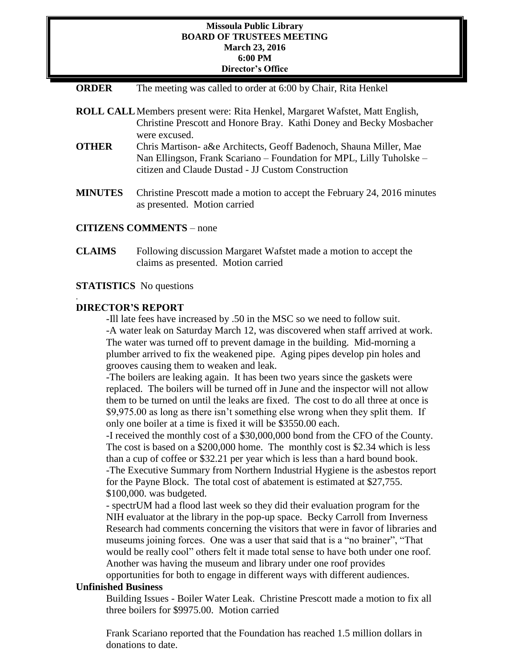#### **Missoula Public Library BOARD OF TRUSTEES MEETING March 23, 2016 6:00 PM Director's Office**

| <b>ORDER</b> |  |  |  | The meeting was called to order at 6:00 by Chair, Rita Henkel |
|--------------|--|--|--|---------------------------------------------------------------|
|--------------|--|--|--|---------------------------------------------------------------|

|                | <b>ROLL CALL</b> Members present were: Rita Henkel, Margaret Wafstet, Matt English,<br>Christine Prescott and Honore Bray. Kathi Doney and Becky Mosbacher                                       |
|----------------|--------------------------------------------------------------------------------------------------------------------------------------------------------------------------------------------------|
|                | were excused.                                                                                                                                                                                    |
| <b>OTHER</b>   | Chris Martison- a&e Architects, Geoff Badenoch, Shauna Miller, Mae<br>Nan Ellingson, Frank Scariano - Foundation for MPL, Lilly Tuholske -<br>citizen and Claude Dustad - JJ Custom Construction |
| <b>MINUTES</b> | Christine Prescott made a motion to accept the February 24, 2016 minutes<br>as presented. Motion carried                                                                                         |

## **CITIZENS COMMENTS** – none

**CLAIMS** Following discussion Margaret Wafstet made a motion to accept the claims as presented. Motion carried

#### **STATISTICS** No questions

### **DIRECTOR'S REPORT**

.

-Ill late fees have increased by .50 in the MSC so we need to follow suit. -A water leak on Saturday March 12, was discovered when staff arrived at work. The water was turned off to prevent damage in the building. Mid-morning a plumber arrived to fix the weakened pipe. Aging pipes develop pin holes and grooves causing them to weaken and leak.

-The boilers are leaking again. It has been two years since the gaskets were replaced. The boilers will be turned off in June and the inspector will not allow them to be turned on until the leaks are fixed. The cost to do all three at once is \$9,975.00 as long as there isn't something else wrong when they split them. If only one boiler at a time is fixed it will be \$3550.00 each.

-I received the monthly cost of a \$30,000,000 bond from the CFO of the County. The cost is based on a \$200,000 home. The monthly cost is \$2.34 which is less than a cup of coffee or \$32.21 per year which is less than a hard bound book. -The Executive Summary from Northern Industrial Hygiene is the asbestos report for the Payne Block. The total cost of abatement is estimated at \$27,755. \$100,000. was budgeted.

- spectrUM had a flood last week so they did their evaluation program for the NIH evaluator at the library in the pop-up space. Becky Carroll from Inverness Research had comments concerning the visitors that were in favor of libraries and museums joining forces. One was a user that said that is a "no brainer", "That would be really cool" others felt it made total sense to have both under one roof. Another was having the museum and library under one roof provides

opportunities for both to engage in different ways with different audiences.

#### **Unfinished Business**

Building Issues - Boiler Water Leak. Christine Prescott made a motion to fix all three boilers for \$9975.00. Motion carried

Frank Scariano reported that the Foundation has reached 1.5 million dollars in donations to date.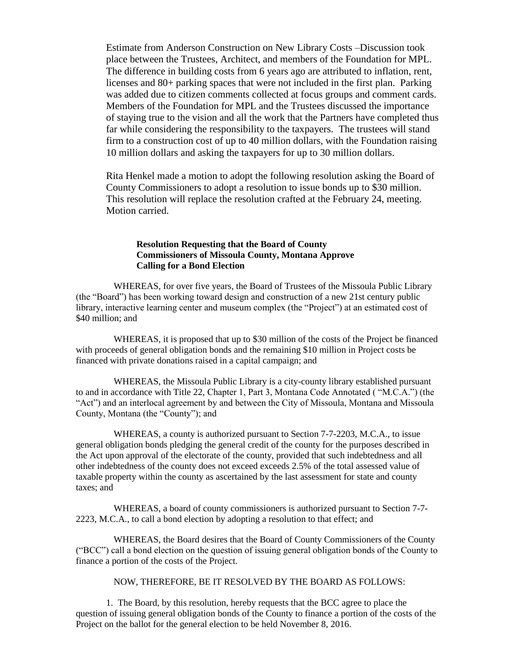Estimate from Anderson Construction on New Library Costs –Discussion took place between the Trustees, Architect, and members of the Foundation for MPL. The difference in building costs from 6 years ago are attributed to inflation, rent, licenses and 80+ parking spaces that were not included in the first plan. Parking was added due to citizen comments collected at focus groups and comment cards. Members of the Foundation for MPL and the Trustees discussed the importance of staying true to the vision and all the work that the Partners have completed thus far while considering the responsibility to the taxpayers. The trustees will stand firm to a construction cost of up to 40 million dollars, with the Foundation raising 10 million dollars and asking the taxpayers for up to 30 million dollars.

Rita Henkel made a motion to adopt the following resolution asking the Board of County Commissioners to adopt a resolution to issue bonds up to \$30 million. This resolution will replace the resolution crafted at the February 24, meeting. Motion carried.

#### **Resolution Requesting that the Board of County Commissioners of Missoula County, Montana Approve Calling for a Bond Election**

WHEREAS, for over five years, the Board of Trustees of the Missoula Public Library (the "Board") has been working toward design and construction of a new 21st century public library, interactive learning center and museum complex (the "Project") at an estimated cost of \$40 million; and

WHEREAS, it is proposed that up to \$30 million of the costs of the Project be financed with proceeds of general obligation bonds and the remaining \$10 million in Project costs be financed with private donations raised in a capital campaign; and

WHEREAS, the Missoula Public Library is a city-county library established pursuant to and in accordance with Title 22, Chapter 1, Part 3, Montana Code Annotated ( "M.C.A.") (the "Act") and an interlocal agreement by and between the City of Missoula, Montana and Missoula County, Montana (the "County"); and

WHEREAS, a county is authorized pursuant to Section 7-7-2203, M.C.A., to issue general obligation bonds pledging the general credit of the county for the purposes described in the Act upon approval of the electorate of the county, provided that such indebtedness and all other indebtedness of the county does not exceed exceeds 2.5% of the total assessed value of taxable property within the county as ascertained by the last assessment for state and county taxes; and

WHEREAS, a board of county commissioners is authorized pursuant to Section 7-7- 2223, M.C.A., to call a bond election by adopting a resolution to that effect; and

WHEREAS, the Board desires that the Board of County Commissioners of the County ("BCC") call a bond election on the question of issuing general obligation bonds of the County to finance a portion of the costs of the Project.

NOW, THEREFORE, BE IT RESOLVED BY THE BOARD AS FOLLOWS:

1. The Board, by this resolution, hereby requests that the BCC agree to place the question of issuing general obligation bonds of the County to finance a portion of the costs of the Project on the ballot for the general election to be held November 8, 2016.